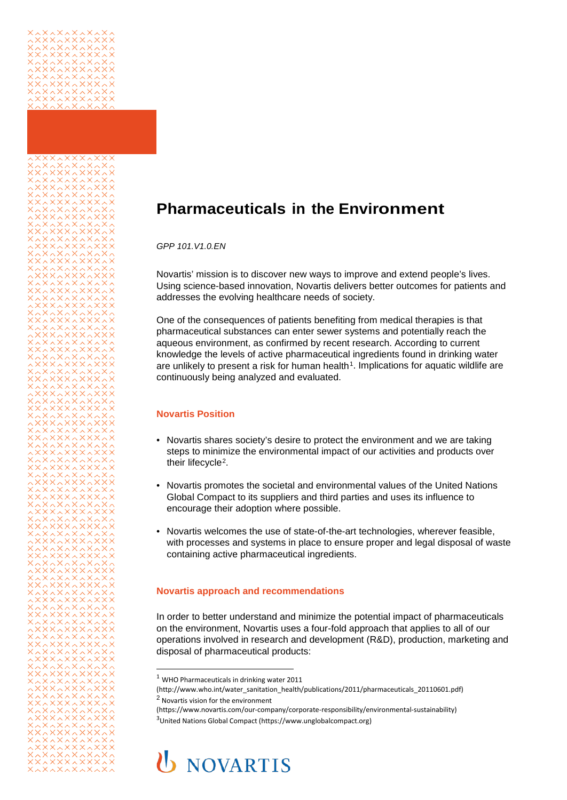

<span id="page-0-1"></span><span id="page-0-0"></span>

# **Pharmaceuticals in the Environment**

*GPP 101.V1.0.EN*

Novartis' mission is to discover new ways to improve and extend people's lives. Using science-based innovation, Novartis delivers better outcomes for patients and addresses the evolving healthcare needs of society.

One of the consequences of patients benefiting from medical therapies is that pharmaceutical substances can enter sewer systems and potentially reach the aqueous environment, as confirmed by recent research. According to current knowledge the levels of active pharmaceutical ingredients found in drinking water are unlikely to present a risk for human health<sup>1</sup>. Implications for aquatic wildlife are continuously being analyzed and evaluated.

### **Novartis Position**

- Novartis shares society's desire to protect the environment and we are taking steps to minimize the environmental impact of our activities and products over their lifecycle<sup>[2](#page-0-1)</sup>.
- Novartis promotes the societal and environmental values of the United Nations Global Compact to its suppliers and third parties and uses its influence to encourage their adoption where possible.
- Novartis welcomes the use of state-of-the-art technologies, wherever feasible, with processes and systems in place to ensure proper and legal disposal of waste containing active pharmaceutical ingredients.

#### **Novartis approach and recommendations**

In order to better understand and minimize the potential impact of pharmaceuticals on the environment, Novartis uses a four-fold approach that applies to all of our operations involved in research and development (R&D), production, marketing and disposal of pharmaceutical products:

j

# **U** NOVARTIS

 $1$  [WHO Pharmaceuticals in drinking water 2011](http://www.who.int/water_sanitation_health/publications/2011/pharmaceuticals_20110601.pdf)

<sup>(</sup>http://www.who.int/water\_sanitation\_health/publications/2011/pharmaceuticals\_20110601.pdf) <sup>2</sup> Novartis vision for the environment

[<sup>\(</sup>https://www.novartis.com/our-company/corporate-responsibility/environmental-sustainability\)](https://www.novartis.com/our-company/corporate-responsibility/environmental-sustainability) 3 United Nations Global Compact (https://www.unglobalcompact.org)